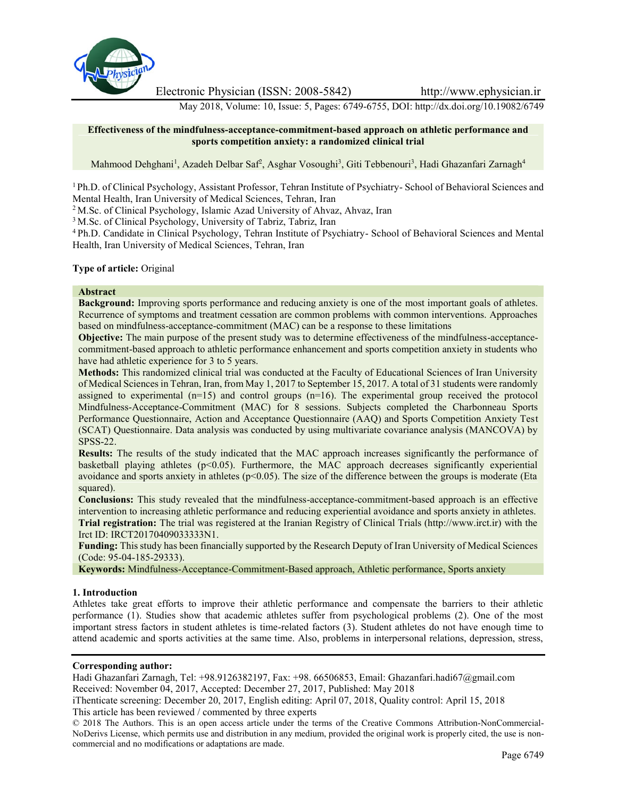

Electronic Physician (ISSN: 2008-5842) http://www.ephysician.ir

May 2018, Volume: 10, Issue: 5, Pages: 6749-6755, DOI: http://dx.doi.org/10.19082/6749

### **Effectiveness of the mindfulness-acceptance-commitment-based approach on athletic performance and sports competition anxiety: a randomized clinical trial**

Mahmood Dehghani<sup>1</sup>, Azadeh Delbar Saf<sup>2</sup>, Asghar Vosoughi<sup>3</sup>, Giti Tebbenouri<sup>3</sup>, Hadi Ghazanfari Zarnagh<sup>4</sup>

<sup>1</sup> Ph.D. of Clinical Psychology, Assistant Professor, Tehran Institute of Psychiatry- School of Behavioral Sciences and Mental Health, Iran University of Medical Sciences, Tehran, Iran

<sup>2</sup> M.Sc. of Clinical Psychology, Islamic Azad University of Ahvaz, Ahvaz, Iran

<sup>3</sup> M.Sc. of Clinical Psychology, University of Tabriz, Tabriz, Iran

<sup>4</sup> Ph.D. Candidate in Clinical Psychology, Tehran Institute of Psychiatry- School of Behavioral Sciences and Mental Health, Iran University of Medical Sciences, Tehran, Iran

### **Type of article:** Original

#### **Abstract**

**Background:** Improving sports performance and reducing anxiety is one of the most important goals of athletes. Recurrence of symptoms and treatment cessation are common problems with common interventions. Approaches based on mindfulness-acceptance-commitment (MAC) can be a response to these limitations

**Objective:** The main purpose of the present study was to determine effectiveness of the mindfulness-acceptance commitment-based approach to athletic performance enhancement and sports competition anxiety in students who have had athletic experience for 3 to 5 years.

**Methods:** This randomized clinical trial was conducted at the Faculty of Educational Sciences of Iran University of Medical Sciences in Tehran, Iran, from May 1, 2017 to September 15, 2017. A total of 31 students were randomly assigned to experimental  $(n=15)$  and control groups  $(n=16)$ . The experimental group received the protocol Mindfulness-Acceptance-Commitment (MAC) for 8 sessions. Subjects completed the Charbonneau Sports Performance Questionnaire, Action and Acceptance Questionnaire (AAQ) and Sports Competition Anxiety Test (SCAT) Questionnaire. Data analysis was conducted by using multivariate covariance analysis (MANCOVA) by SPSS-22.

**Results:** The results of the study indicated that the MAC approach increases significantly the performance of basketball playing athletes  $(p<0.05)$ . Furthermore, the MAC approach decreases significantly experiential avoidance and sports anxiety in athletes ( $p$ <0.05). The size of the difference between the groups is moderate (Eta squared).

**Conclusions:** This study revealed that the mindfulness-acceptance-commitment-based approach is an effective intervention to increasing athletic performance and reducing experiential avoidance and sports anxiety in athletes. **Trial registration:** The trial was registered at the Iranian Registry of Clinical Trials (http://www.irct.ir) with the Irct ID: IRCT20170409033333N1.

**Funding:** This study has been financially supported by the Research Deputy of Iran University of Medical Sciences (Code: 95-04-185-29333).

**Keywords:** Mindfulness-Acceptance-Commitment-Based approach, Athletic performance, Sports anxiety

### **1. Introduction**

Athletes take great efforts to improve their athletic performance and compensate the barriers to their athletic performance (1). Studies show that academic athletes suffer from psychological problems (2). One of the most important stress factors in student athletes is time-related factors (3). Student athletes do not have enough time to attend academic and sports activities at the same time. Also, problems in interpersonal relations, depression, stress,

### **Corresponding author:**

Hadi Ghazanfari Zarnagh, Tel: +98.9126382197, Fax: +98. 66506853, Email: Ghazanfari.hadi67@gmail.com Received: November 04, 2017, Accepted: December 27, 2017, Published: May 2018

© 2018 The Authors. This is an open access article under the terms of the Creative Commons Attribution-NonCommercial- NoDerivs License, which permits use and distribution in any medium, provided the original work is properly cited, the use is non commercial and no modifications or adaptations are made.

iThenticate screening: December 20, 2017, English editing: April 07, 2018, Quality control: April 15, 2018 This article has been reviewed / commented by three experts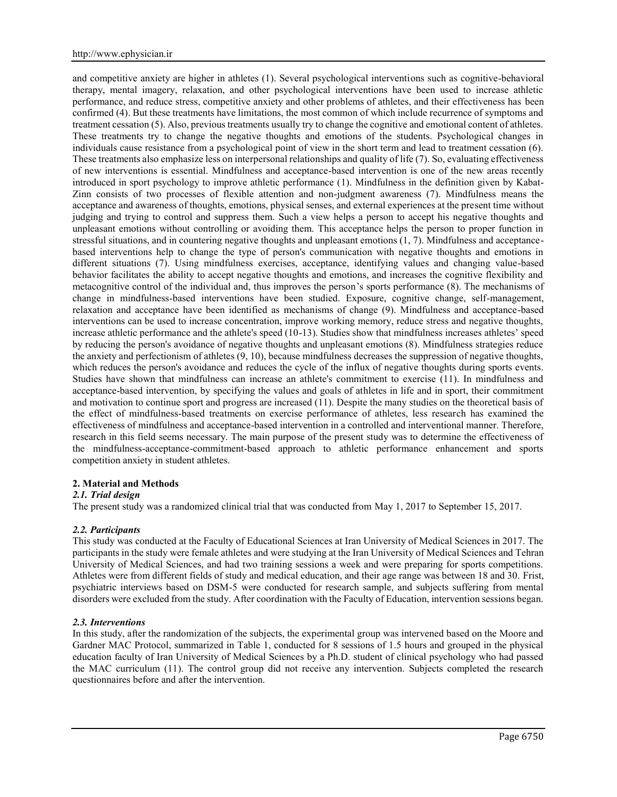and competitive anxiety are higher in athletes (1). Several psychological interventions such as cognitive-behavioral therapy, mental imagery, relaxation, and other psychological interventions have been used to increase athletic performance, and reduce stress, competitive anxiety and other problems of athletes, and their effectiveness has been confirmed (4). But these treatments have limitations, the most common of which include recurrence of symptoms and treatment cessation (5). Also, previous treatments usually try to change the cognitive and emotional content of athletes. These treatments try to change the negative thoughts and emotions of the students. Psychological changes in individuals cause resistance from a psychological point of view in the short term and lead to treatment cessation (6). These treatments also emphasize less on interpersonal relationships and quality of life (7). So, evaluating effectiveness of new interventions is essential. Mindfulness and acceptance-based intervention is one of the new areas recently introduced in sport psychology to improve athletic performance (1). Mindfulness in the definition given by Kabat- Zinn consists of two processes of flexible attention and non-judgment awareness (7). Mindfulness means the acceptance and awareness of thoughts, emotions, physical senses, and external experiences at the present time without judging and trying to control and suppress them. Such a view helps a person to accept his negative thoughts and unpleasant emotions without controlling or avoiding them. This acceptance helps the person to proper function in stressful situations, and in countering negative thoughts and unpleasant emotions (1, 7). Mindfulness and acceptance based interventions help to change the type of person's communication with negative thoughts and emotions in different situations (7). Using mindfulness exercises, acceptance, identifying values and changing value-based behavior facilitates the ability to accept negative thoughts and emotions, and increases the cognitive flexibility and metacognitive control of the individual and, thus improves the person's sports performance (8). The mechanisms of change in mindfulness-based interventions have been studied. Exposure, cognitive change, self-management, relaxation and acceptance have been identified as mechanisms of change (9). Mindfulness and acceptance-based interventions can be used to increase concentration, improve working memory, reduce stress and negative thoughts, increase athletic performance and the athlete's speed (10-13). Studies show that mindfulness increases athletes' speed by reducing the person's avoidance of negative thoughts and unpleasant emotions (8). Mindfulness strategies reduce the anxiety and perfectionism of athletes (9, 10), because mindfulness decreases the suppression of negative thoughts, which reduces the person's avoidance and reduces the cycle of the influx of negative thoughts during sports events. Studies have shown that mindfulness can increase an athlete's commitment to exercise (11). In mindfulness and acceptance-based intervention, by specifying the values and goals of athletes in life and in sport, their commitment and motivation to continue sport and progress are increased (11). Despite the many studies on the theoretical basis of the effect of mindfulness-based treatments on exercise performance of athletes, less research has examined the effectiveness of mindfulness and acceptance-based intervention in a controlled and interventional manner. Therefore, research in this field seems necessary. The main purpose of the present study was to determine the effectiveness of the mindfulness-acceptance-commitment-based approach to athletic performance enhancement and sports competition anxiety in student athletes.

### **2. Material and Methods**

### *2.1. Trial design*

The present study was a randomized clinical trial that was conducted from May 1, 2017 to September 15, 2017.

### *2.2. Participants*

This study was conducted at the Faculty of Educational Sciences at Iran University of Medical Sciences in 2017. The participants in the study were female athletes and were studying at the Iran University of Medical Sciences and Tehran University of Medical Sciences, and had two training sessions a week and were preparing for sports competitions. Athletes were from different fields of study and medical education, and their age range was between 18 and 30. Frist, psychiatric interviews based on DSM-5 were conducted for research sample, and subjects suffering from mental disorders were excluded from the study. After coordination with the Faculty of Education, intervention sessions began.

## *2.3. Interventions*

In this study, after the randomization of the subjects, the experimental group was intervened based on the Moore and Gardner MAC Protocol, summarized in Table 1, conducted for 8 sessions of 1.5 hours and grouped in the physical education faculty of Iran University of Medical Sciences by a Ph.D. student of clinical psychology who had passed the MAC curriculum (11). The control group did not receive any intervention. Subjects completed the research questionnaires before and after the intervention.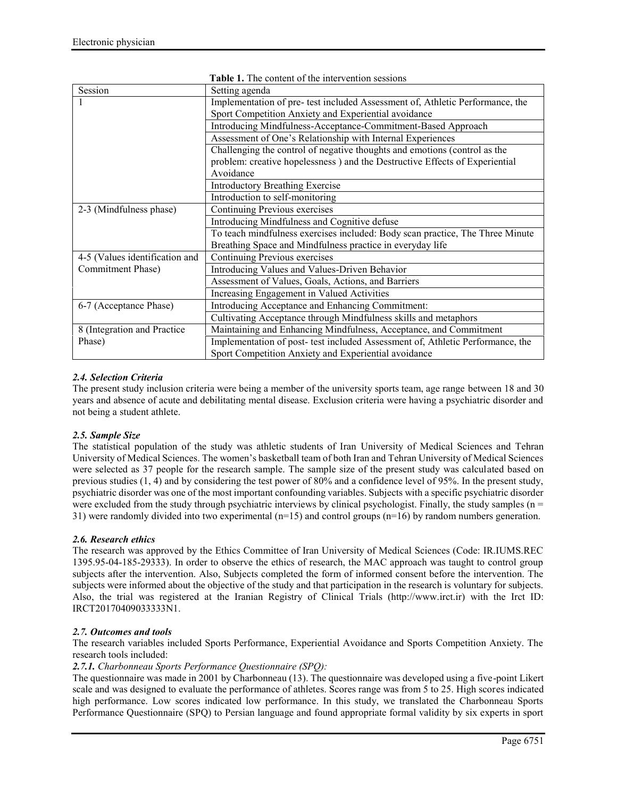|                                | <b>Table 1.</b> The content of the intervention sessions                       |
|--------------------------------|--------------------------------------------------------------------------------|
| <b>Session</b>                 | Setting agenda                                                                 |
|                                | Implementation of pre- test included Assessment of, Athletic Performance, the  |
|                                | Sport Competition Anxiety and Experiential avoidance                           |
|                                | Introducing Mindfulness-Acceptance-Commitment-Based Approach                   |
|                                | Assessment of One's Relationship with Internal Experiences                     |
|                                | Challenging the control of negative thoughts and emotions (control as the      |
|                                | problem: creative hopelessness) and the Destructive Effects of Experiential    |
|                                | Avoidance                                                                      |
|                                | <b>Introductory Breathing Exercise</b>                                         |
|                                | Introduction to self-monitoring                                                |
| 2-3 (Mindfulness phase)        | Continuing Previous exercises                                                  |
|                                | Introducing Mindfulness and Cognitive defuse                                   |
|                                | To teach mindfulness exercises included: Body scan practice, The Three Minute  |
|                                | Breathing Space and Mindfulness practice in everyday life                      |
| 4-5 (Values identification and | Continuing Previous exercises                                                  |
| Commitment Phase)              | Introducing Values and Values-Driven Behavior                                  |
|                                | Assessment of Values, Goals, Actions, and Barriers                             |
|                                | Increasing Engagement in Valued Activities                                     |
| 6-7 (Acceptance Phase)         | Introducing Acceptance and Enhancing Commitment:                               |
|                                | Cultivating Acceptance through Mindfulness skills and metaphors                |
| 8 (Integration and Practice)   | Maintaining and Enhancing Mindfulness, Acceptance, and Commitment              |
| Phase)                         | Implementation of post- test included Assessment of, Athletic Performance, the |
|                                | Sport Competition Anxiety and Experiential avoidance                           |

# *2.4. Selection Criteria*

The present study inclusion criteria were being a member of the university sports team, age range between 18 and 30 years and absence of acute and debilitating mental disease. Exclusion criteria were having a psychiatric disorder and not being a student athlete.

# *2.5. Sample Size*

The statistical population of the study was athletic students of Iran University of Medical Sciences and Tehran University of Medical Sciences. The women's basketball team of both Iran and Tehran University of Medical Sciences were selected as 37 people for the research sample. The sample size of the present study was calculated based on previous studies (1, 4) and by considering the test power of 80% and a confidence level of 95%. In the present study, psychiatric disorder was one of the most important confounding variables. Subjects with a specific psychiatric disorder were excluded from the study through psychiatric interviews by clinical psychologist. Finally, the study samples ( $n =$ 31) were randomly divided into two experimental (n=15) and control groups (n=16) by random numbers generation.

# *2.6. Research ethics*

The research was approved by the Ethics Committee of Iran University of Medical Sciences (Code: IR.IUMS.REC 1395.95-04-185-29333). In order to observe the ethics of research, the MAC approach was taught to control group subjects after the intervention. Also, Subjects completed the form of informed consent before the intervention. The subjects were informed about the objective of the study and that participation in the research is voluntary for subjects. Also, the trial was registered at the Iranian Registry of Clinical Trials (http://www.irct.ir) with the Irct ID: IRCT20170409033333N1.

# *2.7. Outcomes and tools*

The research variables included Sports Performance, Experiential Avoidance and Sports Competition Anxiety. The research tools included:

# *2.7.1. Charbonneau Sports Performance Questionnaire (SPQ):*

The questionnaire was made in 2001 by Charbonneau (13). The questionnaire was developed using a five-point Likert scale and was designed to evaluate the performance of athletes. Scores range was from 5 to 25. High scores indicated high performance. Low scores indicated low performance. In this study, we translated the Charbonneau Sports Performance Questionnaire (SPQ) to Persian language and found appropriate formal validity by six experts in sport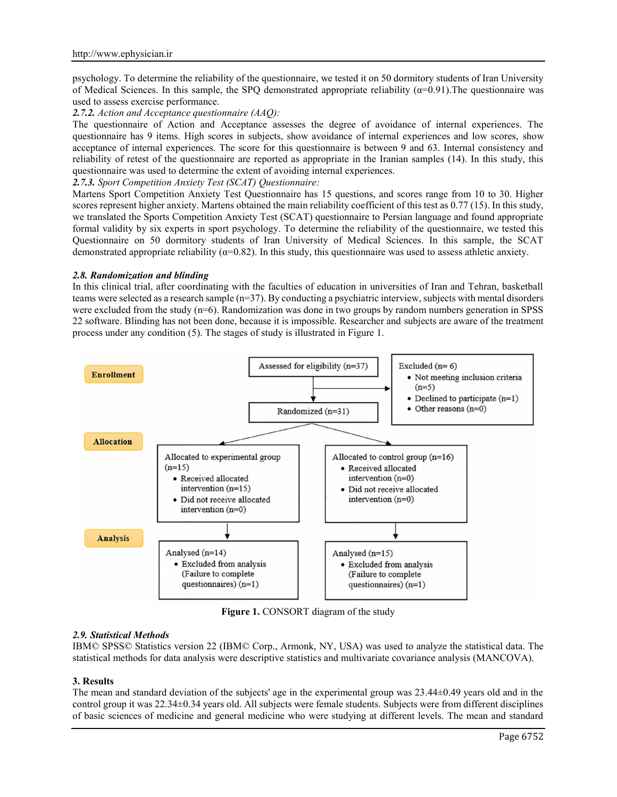psychology. To determine the reliability of the questionnaire, we tested it on 50 dormitory students of Iran University of Medical Sciences. In this sample, the SPQ demonstrated appropriate reliability (α=0.91).The questionnaire was used to assess exercise performance.

## *2.7.2. Action and Acceptance questionnaire (AAQ):*

The questionnaire of Action and Acceptance assesses the degree of avoidance of internal experiences. The questionnaire has 9 items. High scores in subjects, show avoidance of internal experiences and low scores, show acceptance of internal experiences. The score for this questionnaire is between 9 and 63. Internal consistency and reliability of retest of the questionnaire are reported as appropriate in the Iranian samples (14). In this study, this questionnaire was used to determine the extent of avoiding internal experiences.

*2.7.3. Sport Competition Anxiety Test (SCAT) Questionnaire:*

Martens Sport Competition Anxiety Test Questionnaire has 15 questions, and scores range from 10 to 30. Higher scores represent higher anxiety. Martens obtained the main reliability coefficient of this test as 0.77 (15). In this study, we translated the Sports Competition Anxiety Test (SCAT) questionnaire to Persian language and found appropriate formal validity by six experts in sport psychology. To determine the reliability of the questionnaire, we tested this Questionnaire on 50 dormitory students of Iran University of Medical Sciences. In this sample, the SCAT demonstrated appropriate reliability ( $\alpha$ =0.82). In this study, this questionnaire was used to assess athletic anxiety.

## *2.8. Randomization and blinding*

In this clinical trial, after coordinating with the faculties of education in universities of Iran and Tehran, basketball teams were selected as a research sample (n=37). By conducting a psychiatric interview, subjects with mental disorders were excluded from the study (n=6). Randomization was done in two groups by random numbers generation in SPSS 22 software. Blinding has not been done, because it is impossible. Researcher and subjects are aware of the treatment process under any condition (5). The stages of study is illustrated in Figure 1.



**Figure 1.** CONSORT diagram of the study

## *2.9. Statistical Methods*

IBM© SPSS© Statistics version 22 (IBM© Corp., Armonk, NY, USA) was used to analyze the statistical data. The statistical methods for data analysis were descriptive statistics and multivariate covariance analysis (MANCOVA).

## **3. Results**

The mean and standard deviation of the subjects' age in the experimental group was 23.44±0.49 years old and in the control group it was 22.34±0.34 years old. All subjects were female students. Subjects were from different disciplines of basic sciences of medicine and general medicine who were studying at different levels. The mean and standard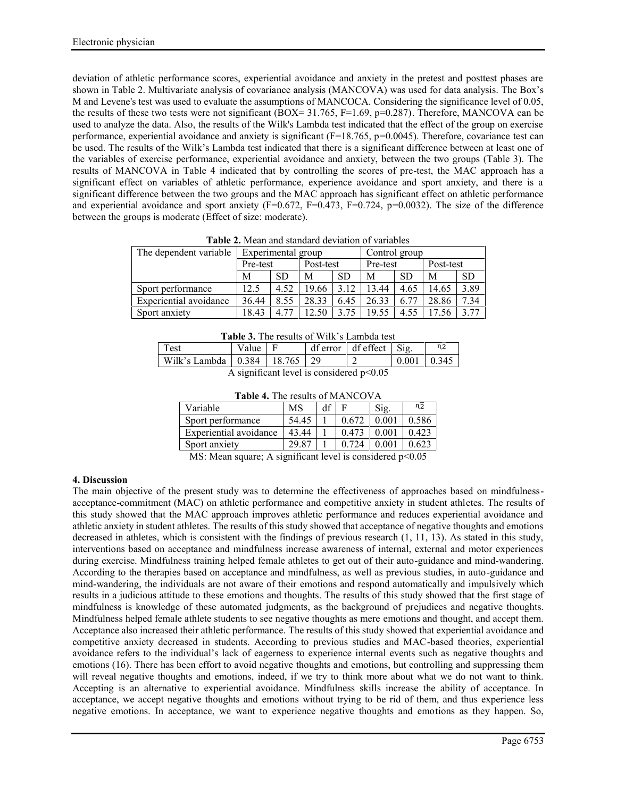deviation of athletic performance scores, experiential avoidance and anxiety in the pretest and posttest phases are shown in Table 2. Multivariate analysis of covariance analysis (MANCOVA) was used for data analysis. The Box's M and Levene's test was used to evaluate the assumptions of MANCOCA. Considering the significance level of 0.05, the results of these two tests were not significant (BOX= 31.765, F=1.69, p=0.287). Therefore, MANCOVA can be used to analyze the data. Also, the results of the Wilk's Lambda test indicated that the effect of the group on exercise performance, experiential avoidance and anxiety is significant (F=18.765, p=0.0045). Therefore, covariance test can be used. The results of the Wilk's Lambda test indicated that there is a significant difference between at least one of the variables of exercise performance, experiential avoidance and anxiety, between the two groups (Table 3). The results of MANCOVA in Table 4 indicated that by controlling the scores of pre-test, the MAC approach has a significant effect on variables of athletic performance, experience avoidance and sport anxiety, and there is a significant difference between the two groups and the MAC approach has significant effect on athletic performance and experiential avoidance and sport anxiety  $(F=0.672, F=0.473, F=0.724, p=0.0032)$ . The size of the difference between the groups is moderate (Effect of size: moderate).

|                        |                    |      |           |               | T NATU TI TILAHI MINI DAHIMALA MATIMIDII OTTAHIMOILO |           |           |      |
|------------------------|--------------------|------|-----------|---------------|------------------------------------------------------|-----------|-----------|------|
| The dependent variable | Experimental group |      |           | Control group |                                                      |           |           |      |
|                        | Pre-test           |      | Post-test |               | Pre-test                                             |           | Post-test |      |
|                        | M                  | SD   | M         | SD            | M                                                    | <b>SD</b> | M         | SD   |
| Sport performance      | 12.5               | 4.52 | 19.66     | 3.12          | 13.44                                                | 4.65      | 4.65      | 3.89 |
| Experiential avoidance | 36.44              | 8.55 | 28.33     | 6.45          | 26.33                                                | 6.77      | 28.86     | 7.34 |
| Sport anxiety          | 18.43              |      | 2.50      |               | 19.55                                                | 4.55      |           |      |

**Table 2.** Mean and standard deviation of variables

| <b>Table 3.</b> The results of Wilk's Lambda test |  |
|---------------------------------------------------|--|
|---------------------------------------------------|--|

| Test                                | Value $ F $ |  | $df$ error $\vert df$ effect $\vert Sig$ . |                         | n2 |
|-------------------------------------|-------------|--|--------------------------------------------|-------------------------|----|
| Wilk's Lambda   0.384   18.765   29 |             |  |                                            | $\mid 0.001 \mid 0.345$ |    |
|                                     |             |  |                                            |                         |    |

A significant level is considered p<0.05

| <b>Table 4.</b> The results of MANCOVA |  |
|----------------------------------------|--|
|----------------------------------------|--|

| Variable               | МS    |  |       | Sig.  | n2    |  |  |
|------------------------|-------|--|-------|-------|-------|--|--|
| Sport performance      | 54.45 |  | 0.672 | 0.001 | 0.586 |  |  |
| Experiential avoidance | 43.44 |  | 0.473 | 0.001 | 0.423 |  |  |
| Sport anxiety          | 29.87 |  | 0.724 | 0.001 | 0.623 |  |  |

MS: Mean square; A significant level is considered  $p<0.05$ 

### **4. Discussion**

The main objective of the present study was to determine the effectiveness of approaches based on mindfulness acceptance-commitment (MAC) on athletic performance and competitive anxiety in student athletes. The results of this study showed that the MAC approach improves athletic performance and reduces experiential avoidance and athletic anxiety in student athletes. The results of this study showed that acceptance of negative thoughts and emotions decreased in athletes, which is consistent with the findings of previous research (1, 11, 13). As stated in this study, interventions based on acceptance and mindfulness increase awareness of internal, external and motor experiences during exercise. Mindfulness training helped female athletes to get out of their auto-guidance and mind-wandering. According to the therapies based on acceptance and mindfulness, as well as previous studies, in auto-guidance and mind-wandering, the individuals are not aware of their emotions and respond automatically and impulsively which results in a judicious attitude to these emotions and thoughts. The results of this study showed that the first stage of mindfulness is knowledge of these automated judgments, as the background of prejudices and negative thoughts. Mindfulness helped female athlete students to see negative thoughts as mere emotions and thought, and accept them. Acceptance also increased their athletic performance. The results of this study showed that experiential avoidance and competitive anxiety decreased in students. According to previous studies and MAC-based theories, experiential avoidance refers to the individual's lack of eagerness to experience internal events such as negative thoughts and emotions (16). There has been effort to avoid negative thoughts and emotions, but controlling and suppressing them will reveal negative thoughts and emotions, indeed, if we try to think more about what we do not want to think. Accepting is an alternative to experiential avoidance. Mindfulness skills increase the ability of acceptance. In acceptance, we accept negative thoughts and emotions without trying to be rid of them, and thus experience less negative emotions. In acceptance, we want to experience negative thoughts and emotions as they happen. So,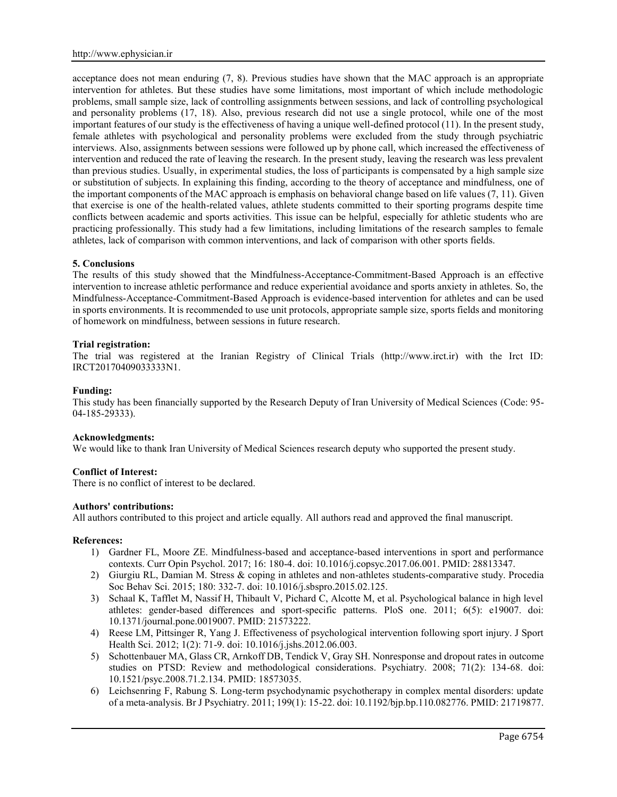acceptance does not mean enduring (7, 8). Previous studies have shown that the MAC approach is an appropriate intervention for athletes. But these studies have some limitations, most important of which include methodologic problems, small sample size, lack of controlling assignments between sessions, and lack of controlling psychological and personality problems (17, 18). Also, previous research did not use a single protocol, while one of the most important features of our study is the effectiveness of having a unique well-defined protocol (11). In the present study, female athletes with psychological and personality problems were excluded from the study through psychiatric interviews. Also, assignments between sessions were followed up by phone call, which increased the effectiveness of intervention and reduced the rate of leaving the research. In the present study, leaving the research was less prevalent than previous studies. Usually, in experimental studies, the loss of participants is compensated by a high sample size or substitution of subjects. In explaining this finding, according to the theory of acceptance and mindfulness, one of the important components of the MAC approach is emphasis on behavioral change based on life values (7, 11). Given that exercise is one of the health-related values, athlete students committed to their sporting programs despite time conflicts between academic and sports activities. This issue can be helpful, especially for athletic students who are practicing professionally. This study had a few limitations, including limitations of the research samples to female athletes, lack of comparison with common interventions, and lack of comparison with other sports fields.

### **5. Conclusions**

The results of this study showed that the Mindfulness-Acceptance-Commitment-Based Approach is an effective intervention to increase athletic performance and reduce experiential avoidance and sports anxiety in athletes. So, the Mindfulness-Acceptance-Commitment-Based Approach is evidence-based intervention for athletes and can be used in sports environments. It is recommended to use unit protocols, appropriate sample size, sports fields and monitoring of homework on mindfulness, between sessions in future research.

### **Trial registration:**

The trial was registered at the Iranian Registry of Clinical Trials (http://www.irct.ir) with the Irct ID: IRCT20170409033333N1.

### **Funding:**

This study has been financially supported by the Research Deputy of Iran University of Medical Sciences (Code: 95- 04-185-29333).

### **Acknowledgments:**

We would like to thank Iran University of Medical Sciences research deputy who supported the present study.

## **Conflict of Interest:**

There is no conflict of interest to be declared.

### **Authors' contributions:**

All authors contributed to this project and article equally. All authors read and approved the final manuscript.

### **References:**

- 1) Gardner FL, Moore ZE. Mindfulness-based and acceptance-based interventions in sport and performance contexts. Curr Opin Psychol. 2017; 16: 180-4. doi: 10.1016/j.copsyc.2017.06.001. PMID: 28813347.
- 2) Giurgiu RL, Damian M. Stress & coping in athletes and non-athletes students-comparative study. Procedia Soc Behav Sci. 2015; 180: 332-7. doi: 10.1016/j.sbspro.2015.02.125.
- 3) Schaal K, Tafflet M, Nassif H, Thibault V, Pichard C, Alcotte M, et al. Psychological balance in high level athletes: gender-based differences and sport-specific patterns. PloS one. 2011; 6(5): e19007. doi: 10.1371/journal.pone.0019007. PMID: 21573222.
- 4) Reese LM, Pittsinger R, Yang J. Effectiveness of psychological intervention following sport injury. J Sport Health Sci. 2012; 1(2): 71-9. doi: 10.1016/j.jshs.2012.06.003.
- 5) Schottenbauer MA, Glass CR, Arnkoff DB, Tendick V, Gray SH. Nonresponse and dropout rates in outcome studies on PTSD: Review and methodological considerations. Psychiatry. 2008; 71(2): 134-68. doi: 10.1521/psyc.2008.71.2.134. PMID: 18573035.
- 6) Leichsenring F, Rabung S. Long-term psychodynamic psychotherapy in complex mental disorders: update of a meta-analysis. Br J Psychiatry. 2011; 199(1): 15-22. doi: 10.1192/bjp.bp.110.082776. PMID: 21719877.